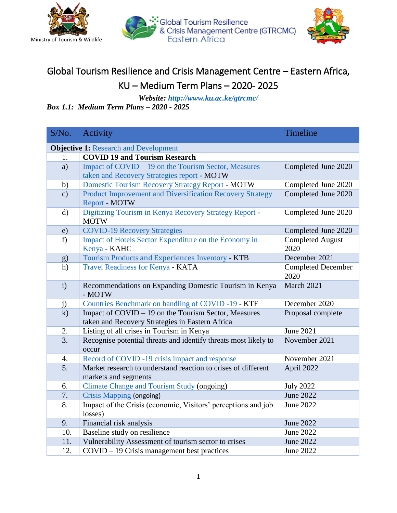





## Global Tourism Resilience and Crisis Management Centre – Eastern Africa, KU – Medium Term Plans – 2020- 2025

*Website:<http://www.ku.ac.ke/gtrcmc/> Box 1.1: Medium Term Plans – 2020 - 2025*

| S/No.                                        | Activity                                                                              | Timeline                          |
|----------------------------------------------|---------------------------------------------------------------------------------------|-----------------------------------|
| <b>Objective 1: Research and Development</b> |                                                                                       |                                   |
| 1.                                           | <b>COVID 19 and Tourism Research</b>                                                  |                                   |
| a)                                           | Impact of COVID – 19 on the Tourism Sector, Measures                                  | Completed June 2020               |
|                                              | taken and Recovery Strategies report - MOTW                                           |                                   |
| b)                                           | <b>Domestic Tourism Recovery Strategy Report - MOTW</b>                               | Completed June 2020               |
| $\mathbf{c})$                                | Product Improvement and Diversification Recovery Strategy<br>Report - MOTW            | Completed June 2020               |
| $\rm d)$                                     | Digitizing Tourism in Kenya Recovery Strategy Report -<br><b>MOTW</b>                 | Completed June 2020               |
| e)                                           | <b>COVID-19 Recovery Strategies</b>                                                   | Completed June 2020               |
| f                                            | Impact of Hotels Sector Expenditure on the Economy in<br>Kenya - KAHC                 | <b>Completed August</b><br>2020   |
| g)                                           | Tourism Products and Experiences Inventory - KTB                                      | December 2021                     |
| h)                                           | <b>Travel Readiness for Kenya - KATA</b>                                              | <b>Completed December</b><br>2020 |
| $\mathbf{i}$                                 | Recommendations on Expanding Domestic Tourism in Kenya<br>- MOTW                      | March 2021                        |
| j)                                           | Countries Benchmark on handling of COVID-19 - KTF                                     | December 2020                     |
| $\bf k)$                                     | Impact of COVID – 19 on the Tourism Sector, Measures                                  | Proposal complete                 |
|                                              | taken and Recovery Strategies in Eastern Africa                                       |                                   |
| 2.                                           | Listing of all crises in Tourism in Kenya                                             | <b>June 2021</b>                  |
| $\overline{3}$ .                             | Recognise potential threats and identify threats most likely to<br>occur              | November 2021                     |
| 4.                                           | Record of COVID -19 crisis impact and response                                        | November 2021                     |
| 5.                                           | Market research to understand reaction to crises of different<br>markets and segments | April 2022                        |
| 6.                                           | <b>Climate Change and Tourism Study (ongoing)</b>                                     | <b>July 2022</b>                  |
| 7.                                           | <b>Crisis Mapping (ongoing)</b>                                                       | <b>June 2022</b>                  |
| 8.                                           | Impact of the Crisis (economic, Visitors' perceptions and job<br>losses)              | <b>June 2022</b>                  |
| 9.                                           | Financial risk analysis                                                               | <b>June 2022</b>                  |
| 10.                                          | Baseline study on resilience                                                          | June 2022                         |
| 11.                                          | Vulnerability Assessment of tourism sector to crises                                  | <b>June 2022</b>                  |
| 12.                                          | COVID – 19 Crisis management best practices                                           | June 2022                         |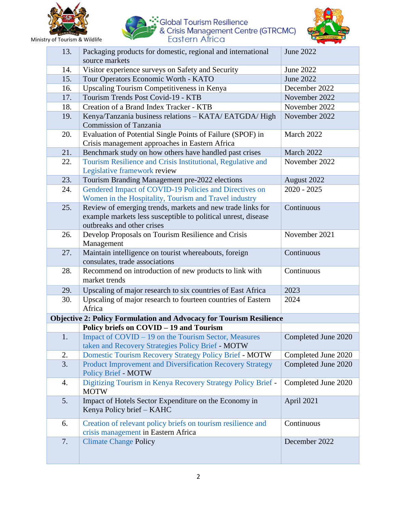





| 13.                                                                        | Packaging products for domestic, regional and international<br>source markets                                                                             | <b>June 2022</b>    |
|----------------------------------------------------------------------------|-----------------------------------------------------------------------------------------------------------------------------------------------------------|---------------------|
| 14.                                                                        | Visitor experience surveys on Safety and Security                                                                                                         | June 2022           |
| 15.                                                                        | Tour Operators Economic Worth - KATO                                                                                                                      | June 2022           |
| 16.                                                                        | Upscaling Tourism Competitiveness in Kenya                                                                                                                | December 2022       |
| 17.                                                                        | Tourism Trends Post Covid-19 - KTB                                                                                                                        | November 2022       |
| 18.                                                                        | Creation of a Brand Index Tracker - KTB                                                                                                                   | November 2022       |
| 19.                                                                        | Kenya/Tanzania business relations - KATA/ EATGDA/ High<br><b>Commission of Tanzania</b>                                                                   | November 2022       |
| 20.                                                                        | Evaluation of Potential Single Points of Failure (SPOF) in<br>Crisis management approaches in Eastern Africa                                              | March 2022          |
| 21.                                                                        | Benchmark study on how others have handled past crises                                                                                                    | March 2022          |
| 22.                                                                        | Tourism Resilience and Crisis Institutional, Regulative and<br>Legislative framework review                                                               | November 2022       |
| 23.                                                                        | Tourism Branding Management pre-2022 elections                                                                                                            | August 2022         |
| 24.                                                                        | Gendered Impact of COVID-19 Policies and Directives on<br>Women in the Hospitality, Tourism and Travel industry                                           | $2020 - 2025$       |
| 25.                                                                        | Review of emerging trends, markets and new trade links for<br>example markets less susceptible to political unrest, disease<br>outbreaks and other crises | Continuous          |
| 26.                                                                        | Develop Proposals on Tourism Resilience and Crisis<br>Management                                                                                          | November 2021       |
| 27.                                                                        | Maintain intelligence on tourist whereabouts, foreign<br>consulates, trade associations                                                                   | Continuous          |
| 28.                                                                        | Recommend on introduction of new products to link with<br>market trends                                                                                   | Continuous          |
| 29.                                                                        | Upscaling of major research to six countries of East Africa                                                                                               | 2023                |
| 30.                                                                        | Upscaling of major research to fourteen countries of Eastern<br>Africa                                                                                    | 2024                |
| <b>Objective 2: Policy Formulation and Advocacy for Tourism Resilience</b> |                                                                                                                                                           |                     |
|                                                                            | Policy briefs on COVID - 19 and Tourism                                                                                                                   |                     |
| 1.                                                                         | Impact of COVID – 19 on the Tourism Sector, Measures<br>taken and Recovery Strategies Policy Brief - MOTW                                                 | Completed June 2020 |
| 2.                                                                         | <b>Domestic Tourism Recovery Strategy Policy Brief - MOTW</b>                                                                                             | Completed June 2020 |
| 3.                                                                         | Product Improvement and Diversification Recovery Strategy<br><b>Policy Brief - MOTW</b>                                                                   | Completed June 2020 |
| 4.                                                                         | Digitizing Tourism in Kenya Recovery Strategy Policy Brief -<br><b>MOTW</b>                                                                               | Completed June 2020 |
| 5.                                                                         | Impact of Hotels Sector Expenditure on the Economy in<br>Kenya Policy brief – KAHC                                                                        | April 2021          |
| 6.                                                                         | Creation of relevant policy briefs on tourism resilience and<br>crisis management in Eastern Africa                                                       | Continuous          |
| 7.                                                                         | <b>Climate Change Policy</b>                                                                                                                              | December 2022       |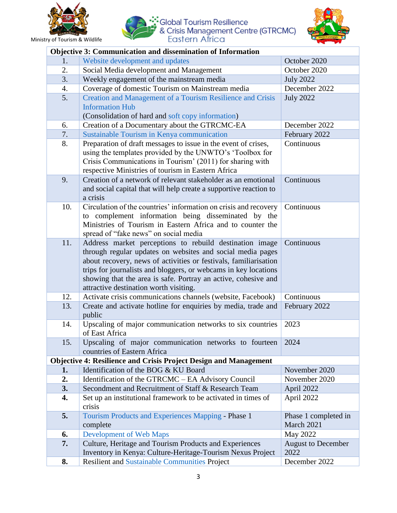





| <b>Objective 3: Communication and dissemination of Information</b>      |                                                                                                                                                                                                                                                                                                                                                                          |                                    |
|-------------------------------------------------------------------------|--------------------------------------------------------------------------------------------------------------------------------------------------------------------------------------------------------------------------------------------------------------------------------------------------------------------------------------------------------------------------|------------------------------------|
| 1.                                                                      | Website development and updates                                                                                                                                                                                                                                                                                                                                          | October 2020                       |
| 2.                                                                      | Social Media development and Management                                                                                                                                                                                                                                                                                                                                  | October 2020                       |
| 3.                                                                      | Weekly engagement of the mainstream media                                                                                                                                                                                                                                                                                                                                | <b>July 2022</b>                   |
| 4.                                                                      | Coverage of domestic Tourism on Mainstream media                                                                                                                                                                                                                                                                                                                         | December 2022                      |
| 5.                                                                      | Creation and Management of a Tourism Resilience and Crisis                                                                                                                                                                                                                                                                                                               | <b>July 2022</b>                   |
|                                                                         | <b>Information Hub</b>                                                                                                                                                                                                                                                                                                                                                   |                                    |
|                                                                         | (Consolidation of hard and soft copy information)                                                                                                                                                                                                                                                                                                                        |                                    |
| 6.                                                                      | Creation of a Documentary about the GTRCMC-EA                                                                                                                                                                                                                                                                                                                            | December 2022                      |
| 7.                                                                      | Sustainable Tourism in Kenya communication                                                                                                                                                                                                                                                                                                                               | February 2022                      |
| 8.                                                                      | Preparation of draft messages to issue in the event of crises,<br>using the templates provided by the UNWTO's 'Toolbox for<br>Crisis Communications in Tourism' (2011) for sharing with<br>respective Ministries of tourism in Eastern Africa                                                                                                                            | Continuous                         |
| 9.                                                                      | Creation of a network of relevant stakeholder as an emotional<br>and social capital that will help create a supportive reaction to<br>a crisis                                                                                                                                                                                                                           | Continuous                         |
| 10.                                                                     | Circulation of the countries' information on crisis and recovery<br>to complement information being disseminated by the<br>Ministries of Tourism in Eastern Africa and to counter the<br>spread of "fake news" on social media                                                                                                                                           | Continuous                         |
| 11.                                                                     | Address market perceptions to rebuild destination image<br>through regular updates on websites and social media pages<br>about recovery, news of activities or festivals, familiarisation<br>trips for journalists and bloggers, or webcams in key locations<br>showing that the area is safe. Portray an active, cohesive and<br>attractive destination worth visiting. | Continuous                         |
| 12.                                                                     | Activate crisis communications channels (website, Facebook)                                                                                                                                                                                                                                                                                                              | Continuous                         |
| 13.                                                                     | Create and activate hotline for enquiries by media, trade and<br>public                                                                                                                                                                                                                                                                                                  | February 2022                      |
| 14.                                                                     | Upscaling of major communication networks to six countries<br>of East Africa                                                                                                                                                                                                                                                                                             | 2023                               |
| 15.                                                                     | Upscaling of major communication networks to fourteen<br>countries of Eastern Africa                                                                                                                                                                                                                                                                                     | 2024                               |
| <b>Objective 4: Resilience and Crisis Project Design and Management</b> |                                                                                                                                                                                                                                                                                                                                                                          |                                    |
| 1.                                                                      | Identification of the BOG & KU Board                                                                                                                                                                                                                                                                                                                                     | November 2020                      |
| 2.                                                                      | Identification of the GTRCMC - EA Advisory Council                                                                                                                                                                                                                                                                                                                       | November 2020                      |
| 3.                                                                      | Secondment and Recruitment of Staff & Research Team                                                                                                                                                                                                                                                                                                                      | April 2022                         |
| 4.                                                                      | Set up an institutional framework to be activated in times of<br>crisis                                                                                                                                                                                                                                                                                                  | April 2022                         |
| 5.                                                                      | Tourism Products and Experiences Mapping - Phase 1<br>complete                                                                                                                                                                                                                                                                                                           | Phase 1 completed in<br>March 2021 |
| 6.                                                                      | <b>Development of Web Maps</b>                                                                                                                                                                                                                                                                                                                                           | May 2022                           |
| 7.                                                                      | Culture, Heritage and Tourism Products and Experiences<br>Inventory in Kenya: Culture-Heritage-Tourism Nexus Project                                                                                                                                                                                                                                                     | <b>August to December</b><br>2022  |
| 8.                                                                      | <b>Resilient and Sustainable Communities Project</b>                                                                                                                                                                                                                                                                                                                     | December 2022                      |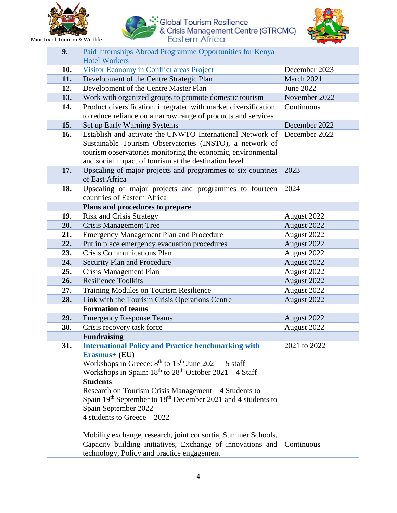





| 9.  | Paid Internships Abroad Programme Opportunities for Kenya<br><b>Hotel Workers</b>                                                                                                                                                                                                                                                                                                                                                                                                                                                                                           |                            |
|-----|-----------------------------------------------------------------------------------------------------------------------------------------------------------------------------------------------------------------------------------------------------------------------------------------------------------------------------------------------------------------------------------------------------------------------------------------------------------------------------------------------------------------------------------------------------------------------------|----------------------------|
| 10. | Visitor Economy in Conflict areas Project                                                                                                                                                                                                                                                                                                                                                                                                                                                                                                                                   | December 2023              |
| 11. | Development of the Centre Strategic Plan                                                                                                                                                                                                                                                                                                                                                                                                                                                                                                                                    | March 2021                 |
| 12. | Development of the Centre Master Plan                                                                                                                                                                                                                                                                                                                                                                                                                                                                                                                                       | June 2022                  |
| 13. | Work with organized groups to promote domestic tourism                                                                                                                                                                                                                                                                                                                                                                                                                                                                                                                      | November 2022              |
| 14. | Product diversification, integrated with market diversification<br>to reduce reliance on a narrow range of products and services                                                                                                                                                                                                                                                                                                                                                                                                                                            | Continuous                 |
| 15. | Set up Early Warning Systems                                                                                                                                                                                                                                                                                                                                                                                                                                                                                                                                                | December 2022              |
| 16. | Establish and activate the UNWTO International Network of<br>Sustainable Tourism Observatories (INSTO), a network of<br>tourism observatories monitoring the economic, environmental<br>and social impact of tourism at the destination level                                                                                                                                                                                                                                                                                                                               | December 2022              |
| 17. | Upscaling of major projects and programmes to six countries<br>of East Africa                                                                                                                                                                                                                                                                                                                                                                                                                                                                                               | 2023                       |
| 18. | Upscaling of major projects and programmes to fourteen<br>countries of Eastern Africa                                                                                                                                                                                                                                                                                                                                                                                                                                                                                       | 2024                       |
|     | Plans and procedures to prepare                                                                                                                                                                                                                                                                                                                                                                                                                                                                                                                                             |                            |
| 19. | <b>Risk and Crisis Strategy</b>                                                                                                                                                                                                                                                                                                                                                                                                                                                                                                                                             | August 2022                |
| 20. | <b>Crisis Management Tree</b>                                                                                                                                                                                                                                                                                                                                                                                                                                                                                                                                               | August 2022                |
| 21. | <b>Emergency Management Plan and Procedure</b>                                                                                                                                                                                                                                                                                                                                                                                                                                                                                                                              | August 2022                |
| 22. | Put in place emergency evacuation procedures                                                                                                                                                                                                                                                                                                                                                                                                                                                                                                                                | August 2022                |
| 23. | <b>Crisis Communications Plan</b>                                                                                                                                                                                                                                                                                                                                                                                                                                                                                                                                           | August 2022                |
| 24. | Security Plan and Procedure                                                                                                                                                                                                                                                                                                                                                                                                                                                                                                                                                 | August 2022                |
| 25. | Crisis Management Plan                                                                                                                                                                                                                                                                                                                                                                                                                                                                                                                                                      | August 2022                |
| 26. | <b>Resilience Toolkits</b>                                                                                                                                                                                                                                                                                                                                                                                                                                                                                                                                                  | August 2022                |
| 27. | Training Modules on Tourism Resilience                                                                                                                                                                                                                                                                                                                                                                                                                                                                                                                                      | August 2022                |
| 28. | Link with the Tourism Crisis Operations Centre                                                                                                                                                                                                                                                                                                                                                                                                                                                                                                                              | August 2022                |
|     | <b>Formation of teams</b>                                                                                                                                                                                                                                                                                                                                                                                                                                                                                                                                                   |                            |
| 29. | <b>Emergency Response Teams</b>                                                                                                                                                                                                                                                                                                                                                                                                                                                                                                                                             | August 2022                |
| 30. | Crisis recovery task force                                                                                                                                                                                                                                                                                                                                                                                                                                                                                                                                                  | August 2022                |
|     | <b>Fundraising</b>                                                                                                                                                                                                                                                                                                                                                                                                                                                                                                                                                          |                            |
| 31. | <b>International Policy and Practice benchmarking with</b><br>Erasmus+ (EU)<br>Workshops in Greece: $8th$ to $15th$ June $2021 - 5$ staff<br>Workshops in Spain: $18^{th}$ to $28^{th}$ October $2021 - 4$ Staff<br><b>Students</b><br>Research on Tourism Crisis Management – 4 Students to<br>Spain 19 <sup>th</sup> September to 18 <sup>th</sup> December 2021 and 4 students to<br>Spain September 2022<br>4 students to Greece $-2022$<br>Mobility exchange, research, joint consortia, Summer Schools,<br>Capacity building initiatives, Exchange of innovations and | 2021 to 2022<br>Continuous |
|     | technology, Policy and practice engagement                                                                                                                                                                                                                                                                                                                                                                                                                                                                                                                                  |                            |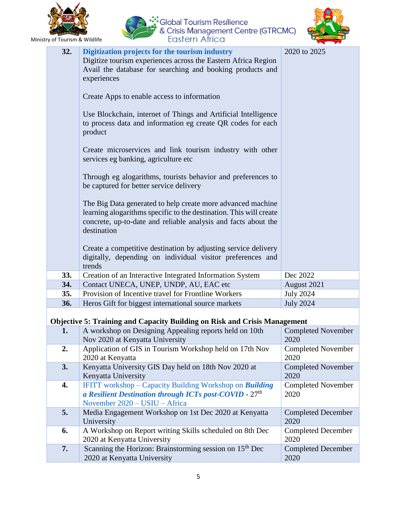

:• Global Tourism Resilience<br>/ & Crisis Management Centre (GTRCMC)<br>Eastern Africa



| 32. | Digitization projects for the tourism industry<br>Digitize tourism experiences across the Eastern Africa Region<br>Avail the database for searching and booking products and<br>experiences<br>Create Apps to enable access to information<br>Use Blockchain, internet of Things and Artificial Intelligence<br>to process data and information eg create QR codes for each<br>product<br>Create microservices and link tourism industry with other<br>services eg banking, agriculture etc<br>Through eg alogarithms, tourists behavior and preferences to<br>be captured for better service delivery<br>The Big Data generated to help create more advanced machine<br>learning alogarithms specific to the destination. This will create<br>concrete, up-to-date and reliable analysis and facts about the<br>destination<br>Create a competitive destination by adjusting service delivery<br>digitally, depending on individual visitor preferences and<br>trends | 2020 to 2025                      |
|-----|------------------------------------------------------------------------------------------------------------------------------------------------------------------------------------------------------------------------------------------------------------------------------------------------------------------------------------------------------------------------------------------------------------------------------------------------------------------------------------------------------------------------------------------------------------------------------------------------------------------------------------------------------------------------------------------------------------------------------------------------------------------------------------------------------------------------------------------------------------------------------------------------------------------------------------------------------------------------|-----------------------------------|
| 33. | Creation of an Interactive Integrated Information System                                                                                                                                                                                                                                                                                                                                                                                                                                                                                                                                                                                                                                                                                                                                                                                                                                                                                                               | Dec 2022                          |
| 34. | Contact UNECA, UNEP, UNDP, AU, EAC etc                                                                                                                                                                                                                                                                                                                                                                                                                                                                                                                                                                                                                                                                                                                                                                                                                                                                                                                                 | August 2021                       |
| 35. | Provision of Incentive travel for Frontline Workers                                                                                                                                                                                                                                                                                                                                                                                                                                                                                                                                                                                                                                                                                                                                                                                                                                                                                                                    | <b>July 2024</b>                  |
| 36. | Heros Gift for biggest international source markets                                                                                                                                                                                                                                                                                                                                                                                                                                                                                                                                                                                                                                                                                                                                                                                                                                                                                                                    | <b>July 2024</b>                  |
|     |                                                                                                                                                                                                                                                                                                                                                                                                                                                                                                                                                                                                                                                                                                                                                                                                                                                                                                                                                                        |                                   |
|     | <b>Objective 5: Training and Capacity Building on Risk and Crisis Management</b>                                                                                                                                                                                                                                                                                                                                                                                                                                                                                                                                                                                                                                                                                                                                                                                                                                                                                       |                                   |
|     | A workshop on Designing Appealing reports held on 10th<br>Nov 2020 at Kenyatta University                                                                                                                                                                                                                                                                                                                                                                                                                                                                                                                                                                                                                                                                                                                                                                                                                                                                              | <b>Completed November</b><br>2020 |
| 2.  | Application of GIS in Tourism Workshop held on 17th Nov<br>2020 at Kenyatta                                                                                                                                                                                                                                                                                                                                                                                                                                                                                                                                                                                                                                                                                                                                                                                                                                                                                            | <b>Completed November</b><br>2020 |
| 3.  | Kenyatta University GIS Day held on 18th Nov 2020 at<br>Kenyatta University                                                                                                                                                                                                                                                                                                                                                                                                                                                                                                                                                                                                                                                                                                                                                                                                                                                                                            | <b>Completed November</b><br>2020 |
| 4.  | <b>IFITT</b> workshop $-$ Capacity Building Workshop on <b>Building</b><br>a Resilient Destination through ICTs post-COVID - $27th$<br>November 2020 - USIU - Africa                                                                                                                                                                                                                                                                                                                                                                                                                                                                                                                                                                                                                                                                                                                                                                                                   | <b>Completed November</b><br>2020 |
| 5.  | Media Engagement Workshop on 1st Dec 2020 at Kenyatta<br>University                                                                                                                                                                                                                                                                                                                                                                                                                                                                                                                                                                                                                                                                                                                                                                                                                                                                                                    | <b>Completed December</b><br>2020 |
| 6.  | A Workshop on Report writing Skills scheduled on 8th Dec<br>2020 at Kenyatta University                                                                                                                                                                                                                                                                                                                                                                                                                                                                                                                                                                                                                                                                                                                                                                                                                                                                                | <b>Completed December</b><br>2020 |
| 7.  | Scanning the Horizon: Brainstorming session on 15 <sup>th</sup> Dec<br>2020 at Kenyatta University                                                                                                                                                                                                                                                                                                                                                                                                                                                                                                                                                                                                                                                                                                                                                                                                                                                                     | <b>Completed December</b><br>2020 |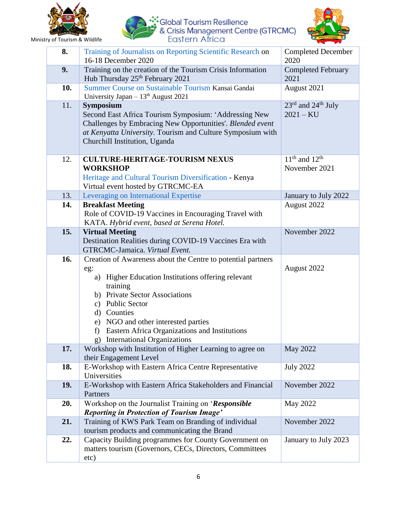





| 8.  | Training of Journalists on Reporting Scientific Research on<br>16-18 December 2020                                                                                                                                                                                                                                                                          | <b>Completed December</b><br>2020                         |
|-----|-------------------------------------------------------------------------------------------------------------------------------------------------------------------------------------------------------------------------------------------------------------------------------------------------------------------------------------------------------------|-----------------------------------------------------------|
| 9.  | Training on the creation of the Tourism Crisis Information<br>Hub Thursday 25 <sup>th</sup> February 2021                                                                                                                                                                                                                                                   | <b>Completed February</b><br>2021                         |
| 10. | Summer Course on Sustainable Tourism Kansai Gandai<br>University Japan $-13th$ August 2021                                                                                                                                                                                                                                                                  | August 2021                                               |
| 11. | <b>Symposium</b><br>Second East Africa Tourism Symposium: 'Addressing New<br>Challenges by Embracing New Opportunities'. Blended event<br>at Kenyatta University. Tourism and Culture Symposium with<br>Churchill Institution, Uganda                                                                                                                       | $23^{\text{rd}}$ and $24^{\text{th}}$ July<br>$2021 - KU$ |
| 12. | <b>CULTURE-HERITAGE-TOURISM NEXUS</b><br><b>WORKSHOP</b><br>Heritage and Cultural Tourism Diversification - Kenya<br>Virtual event hosted by GTRCMC-EA                                                                                                                                                                                                      | $11th$ and $12th$<br>November 2021                        |
| 13. | Leveraging on International Expertise                                                                                                                                                                                                                                                                                                                       | January to July 2022                                      |
| 14. | <b>Breakfast Meeting</b><br>Role of COVID-19 Vaccines in Encouraging Travel with<br>KATA. Hybrid event, based at Serena Hotel.                                                                                                                                                                                                                              | August 2022                                               |
| 15. | <b>Virtual Meeting</b><br>Destination Realities during COVID-19 Vaccines Era with<br>GTRCMC-Jamaica. Virtual Event.                                                                                                                                                                                                                                         | November 2022                                             |
| 16. | Creation of Awareness about the Centre to potential partners<br>eg:<br>a) Higher Education Institutions offering relevant<br>training<br>b) Private Sector Associations<br>c) Public Sector<br>d) Counties<br>e) NGO and other interested parties<br><b>Eastern Africa Organizations and Institutions</b><br>f)<br><b>International Organizations</b><br>g) | August 2022                                               |
| 17. | Workshop with Institution of Higher Learning to agree on<br>their Engagement Level                                                                                                                                                                                                                                                                          | May 2022                                                  |
| 18. | E-Workshop with Eastern Africa Centre Representative<br>Universities                                                                                                                                                                                                                                                                                        | <b>July 2022</b>                                          |
| 19. | E-Workshop with Eastern Africa Stakeholders and Financial<br>Partners                                                                                                                                                                                                                                                                                       | November 2022                                             |
| 20. | Workshop on the Journalist Training on 'Responsible<br><b>Reporting in Protection of Tourism Image'</b>                                                                                                                                                                                                                                                     | May 2022                                                  |
| 21. | Training of KWS Park Team on Branding of individual<br>tourism products and communicating the Brand                                                                                                                                                                                                                                                         | November 2022                                             |
| 22. | Capacity Building programmes for County Government on<br>matters tourism (Governors, CECs, Directors, Committees<br>etc)                                                                                                                                                                                                                                    | January to July 2023                                      |